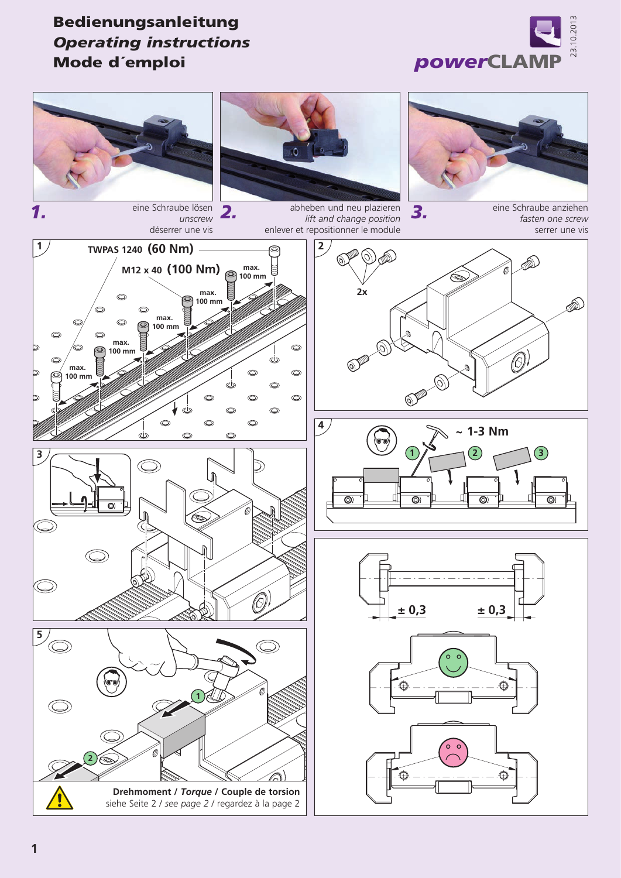

## Bedienungsanleitung *Operating instructions* Mode d´emploi